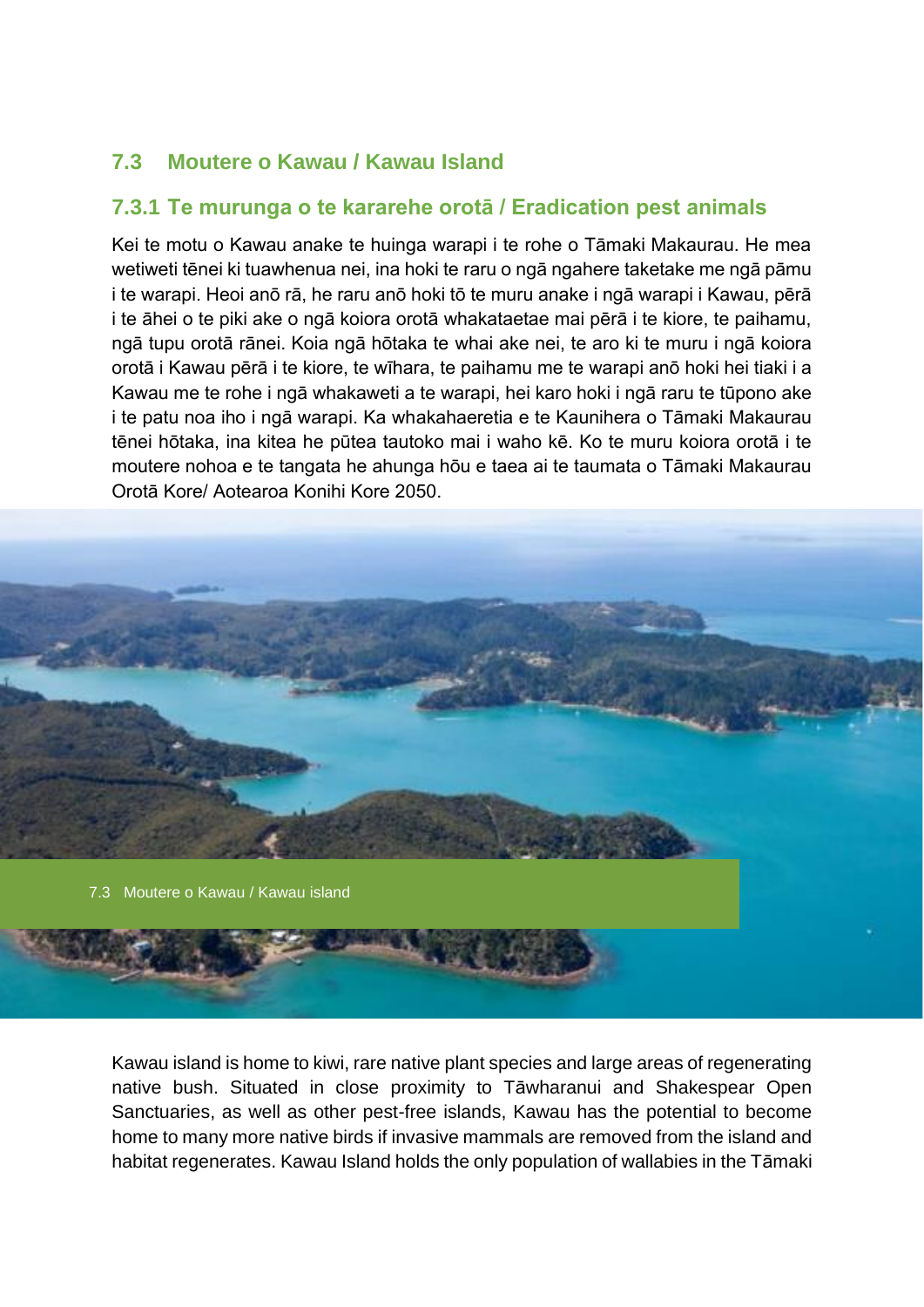# **7.3 Moutere o Kawau / Kawau Island**

## **7.3.1 Te murunga o te kararehe orotā / Eradication pest animals**

Kei te motu o Kawau anake te huinga warapi i te rohe o Tāmaki Makaurau. He mea wetiweti tēnei ki tuawhenua nei, ina hoki te raru o ngā ngahere taketake me ngā pāmu i te warapi. Heoi anō rā, he raru anō hoki tō te muru anake i ngā warapi i Kawau, pērā i te āhei o te piki ake o ngā koiora orotā whakataetae mai pērā i te kiore, te paihamu, ngā tupu orotā rānei. Koia ngā hōtaka te whai ake nei, te aro ki te muru i ngā koiora orotā i Kawau pērā i te kiore, te wīhara, te paihamu me te warapi anō hoki hei tiaki i a Kawau me te rohe i ngā whakaweti a te warapi, hei karo hoki i ngā raru te tūpono ake i te patu noa iho i ngā warapi. Ka whakahaeretia e te Kaunihera o Tāmaki Makaurau tēnei hōtaka, ina kitea he pūtea tautoko mai i waho kē. Ko te muru koiora orotā i te moutere nohoa e te tangata he ahunga hōu e taea ai te taumata o Tāmaki Makaurau Orotā Kore/ Aotearoa Konihi Kore 2050.



Kawau island is home to kiwi, rare native plant species and large areas of regenerating native bush. Situated in close proximity to Tāwharanui and Shakespear Open Sanctuaries, as well as other pest-free islands, Kawau has the potential to become home to many more native birds if invasive mammals are removed from the island and habitat regenerates. Kawau Island holds the only population of wallabies in the Tāmaki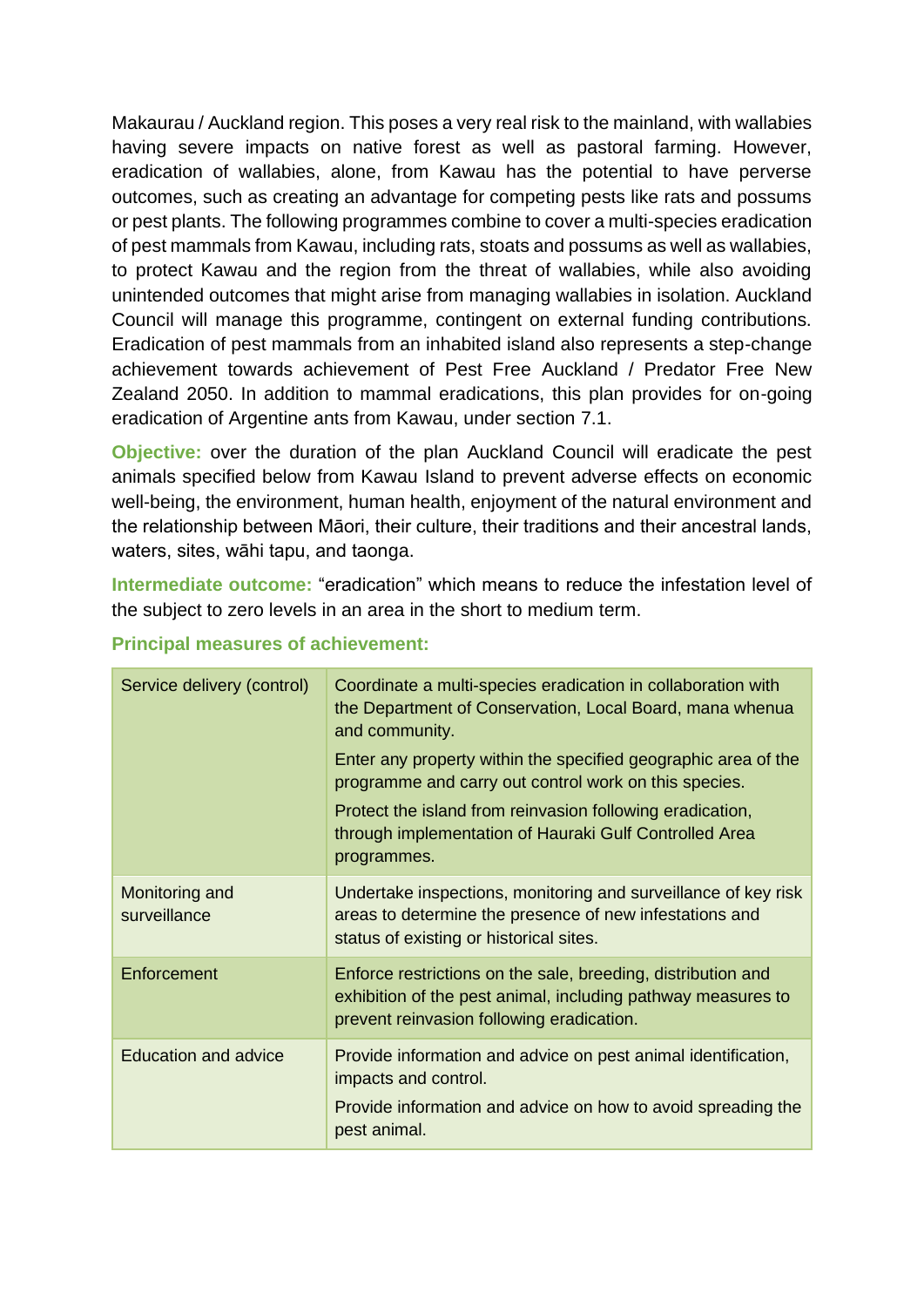Makaurau / Auckland region. This poses a very real risk to the mainland, with wallabies having severe impacts on native forest as well as pastoral farming. However, eradication of wallabies, alone, from Kawau has the potential to have perverse outcomes, such as creating an advantage for competing pests like rats and possums or pest plants. The following programmes combine to cover a multi-species eradication of pest mammals from Kawau, including rats, stoats and possums as well as wallabies, to protect Kawau and the region from the threat of wallabies, while also avoiding unintended outcomes that might arise from managing wallabies in isolation. Auckland Council will manage this programme, contingent on external funding contributions. Eradication of pest mammals from an inhabited island also represents a step-change achievement towards achievement of Pest Free Auckland / Predator Free New Zealand 2050. In addition to mammal eradications, this plan provides for on-going eradication of Argentine ants from Kawau, under section 7.1.

**Objective:** over the duration of the plan Auckland Council will eradicate the pest animals specified below from Kawau Island to prevent adverse effects on economic well-being, the environment, human health, enjoyment of the natural environment and the relationship between Māori, their culture, their traditions and their ancestral lands, waters, sites, wāhi tapu, and taonga.

**Intermediate outcome:** "eradication" which means to reduce the infestation level of the subject to zero levels in an area in the short to medium term.

| Service delivery (control)     | Coordinate a multi-species eradication in collaboration with<br>the Department of Conservation, Local Board, mana whenua<br>and community.<br>Enter any property within the specified geographic area of the<br>programme and carry out control work on this species.<br>Protect the island from reinvasion following eradication,<br>through implementation of Hauraki Gulf Controlled Area<br>programmes. |
|--------------------------------|-------------------------------------------------------------------------------------------------------------------------------------------------------------------------------------------------------------------------------------------------------------------------------------------------------------------------------------------------------------------------------------------------------------|
| Monitoring and<br>surveillance | Undertake inspections, monitoring and surveillance of key risk<br>areas to determine the presence of new infestations and<br>status of existing or historical sites.                                                                                                                                                                                                                                        |
| Enforcement                    | Enforce restrictions on the sale, breeding, distribution and<br>exhibition of the pest animal, including pathway measures to<br>prevent reinvasion following eradication.                                                                                                                                                                                                                                   |
| <b>Education and advice</b>    | Provide information and advice on pest animal identification,<br>impacts and control.<br>Provide information and advice on how to avoid spreading the<br>pest animal.                                                                                                                                                                                                                                       |

## **Principal measures of achievement:**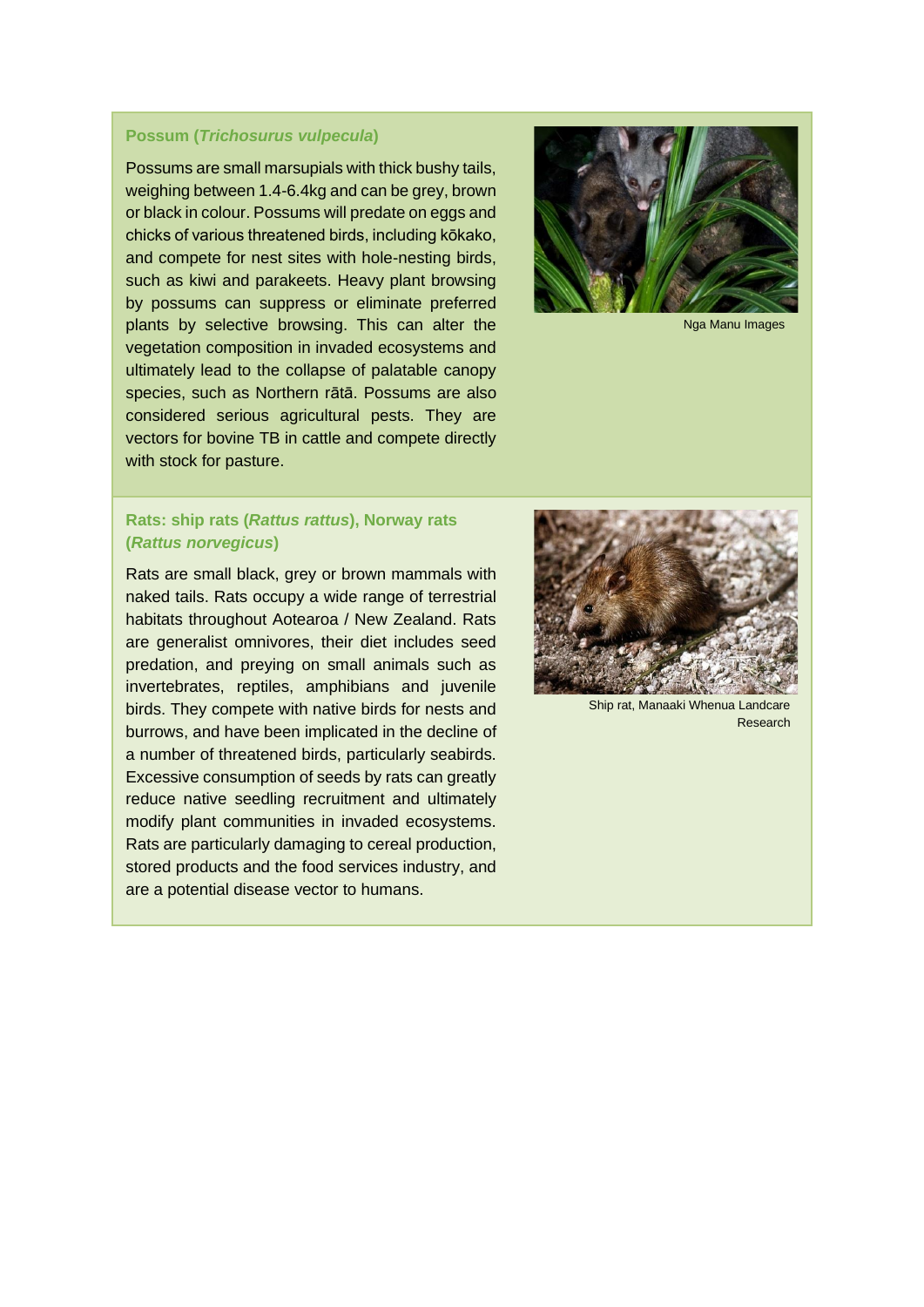### **Possum (***Trichosurus vulpecula***)**

Possums are small marsupials with thick bushy tails, weighing between 1.4-6.4kg and can be grey, brown or black in colour. Possums will predate on eggs and chicks of various threatened birds, including kōkako, and compete for nest sites with hole-nesting birds, such as kiwi and parakeets. Heavy plant browsing by possums can suppress or eliminate preferred plants by selective browsing. This can alter the vegetation composition in invaded ecosystems and ultimately lead to the collapse of palatable canopy species, such as Northern rātā. Possums are also considered serious agricultural pests. They are vectors for bovine TB in cattle and compete directly with stock for pasture.



Nga Manu Images

### **Rats: ship rats (***Rattus rattus***), Norway rats (***Rattus norvegicus***)**

Rats are small black, grey or brown mammals with naked tails. Rats occupy a wide range of terrestrial habitats throughout Aotearoa / New Zealand. Rats are generalist omnivores, their diet includes seed predation, and preying on small animals such as invertebrates, reptiles, amphibians and juvenile birds. They compete with native birds for nests and burrows, and have been implicated in the decline of a number of threatened birds, particularly seabirds. Excessive consumption of seeds by rats can greatly reduce native seedling recruitment and ultimately modify plant communities in invaded ecosystems. Rats are particularly damaging to cereal production, stored products and the food services industry, and are a potential disease vector to humans.



Ship rat, Manaaki Whenua Landcare Research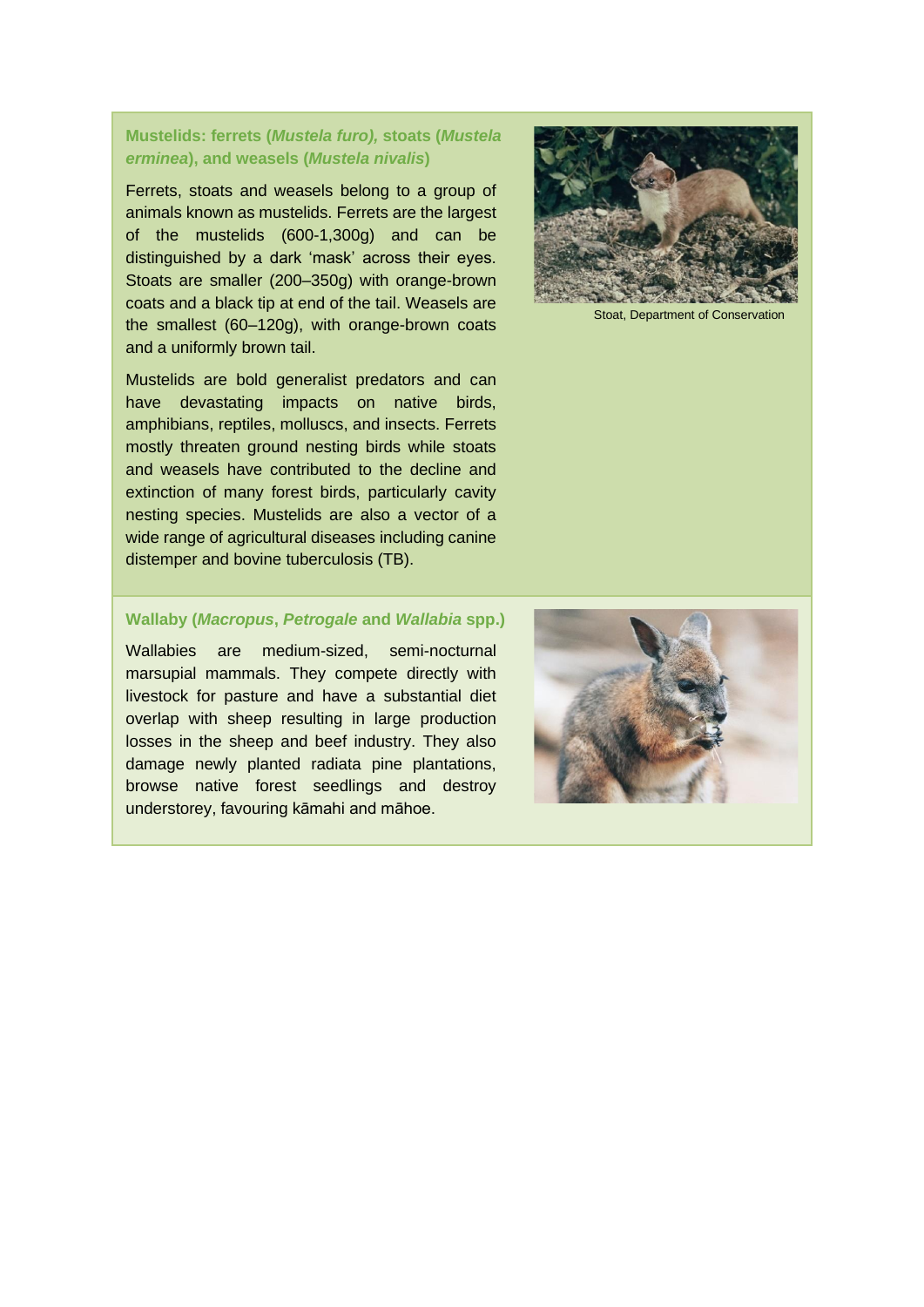### **Mustelids: ferrets (***Mustela furo),* **stoats (***Mustela erminea***), and weasels (***Mustela nivalis***)**

Ferrets, stoats and weasels belong to a group of animals known as mustelids. Ferrets are the largest of the mustelids (600-1,300g) and can be distinguished by a dark 'mask' across their eyes. Stoats are smaller (200–350g) with orange-brown coats and a black tip at end of the tail. Weasels are the smallest (60–120g), with orange-brown coats and a uniformly brown tail.

Mustelids are bold generalist predators and can have devastating impacts on native birds, [amphibians,](https://en.wikipedia.org/wiki/List_of_extinct_animals_of_New_Zealand#Amphibians) reptiles, molluscs, and insects. Ferrets mostly threaten ground nesting birds while stoats and weasels have contributed to the decline and extinction of many forest birds, particularly cavity nesting species. Mustelids are also a vector of a wide range of agricultural diseases including canine distemper and bovine tuberculosis (TB).



Stoat, Department of Conservation

#### **Wallaby (***Macropus***,** *Petrogale* **and** *Wallabia* **spp.)**

Wallabies are medium-sized, semi-nocturnal marsupial mammals. They compete directly with livestock for pasture and have a substantial diet overlap with sheep resulting in large production losses in the sheep and beef industry. They also damage newly planted radiata pine plantations, browse native forest seedlings and destroy understorey, favouring kāmahi and māhoe.

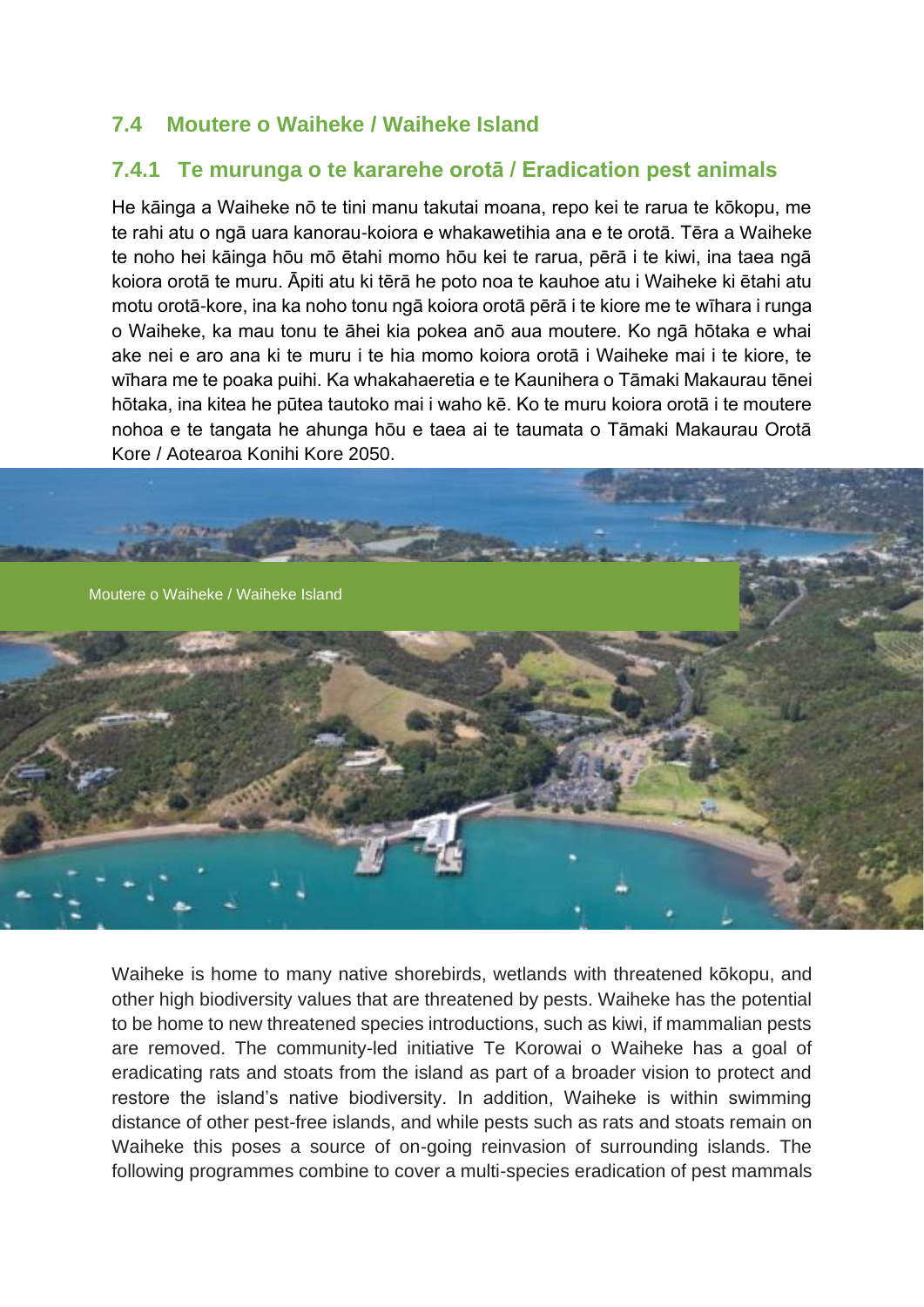## **7.4 Moutere o Waiheke / Waiheke Island**

## **7.4.1 Te murunga o te kararehe orotā / Eradication pest animals**

He kāinga a Waiheke nō te tini manu takutai moana, repo kei te rarua te kōkopu, me te rahi atu o ngā uara kanorau-koiora e whakawetihia ana e te orotā. Tēra a Waiheke te noho hei kāinga hōu mō ētahi momo hōu kei te rarua, pērā i te kiwi, ina taea ngā koiora orotā te muru. Āpiti atu ki tērā he poto noa te kauhoe atu i Waiheke ki ētahi atu motu orotā-kore, ina ka noho tonu ngā koiora orotā pērā i te kiore me te wīhara i runga o Waiheke, ka mau tonu te āhei kia pokea anō aua moutere. Ko ngā hōtaka e whai ake nei e aro ana ki te muru i te hia momo koiora orotā i Waiheke mai i te kiore, te wīhara me te poaka puihi. Ka whakahaeretia e te Kaunihera o Tāmaki Makaurau tēnei hōtaka, ina kitea he pūtea tautoko mai i waho kē. Ko te muru koiora orotā i te moutere nohoa e te tangata he ahunga hōu e taea ai te taumata o Tāmaki Makaurau Orotā Kore / Aotearoa Konihi Kore 2050.



Waiheke is home to many native shorebirds, wetlands with threatened kōkopu, and other high biodiversity values that are threatened by pests. Waiheke has the potential to be home to new threatened species introductions, such as kiwi, if mammalian pests are removed. The community-led initiative Te Korowai o Waiheke has a goal of eradicating rats and stoats from the island as part of a broader vision to protect and restore the island's native biodiversity. In addition, Waiheke is within swimming distance of other pest-free islands, and while pests such as rats and stoats remain on Waiheke this poses a source of on-going reinvasion of surrounding islands. The following programmes combine to cover a multi-species eradication of pest mammals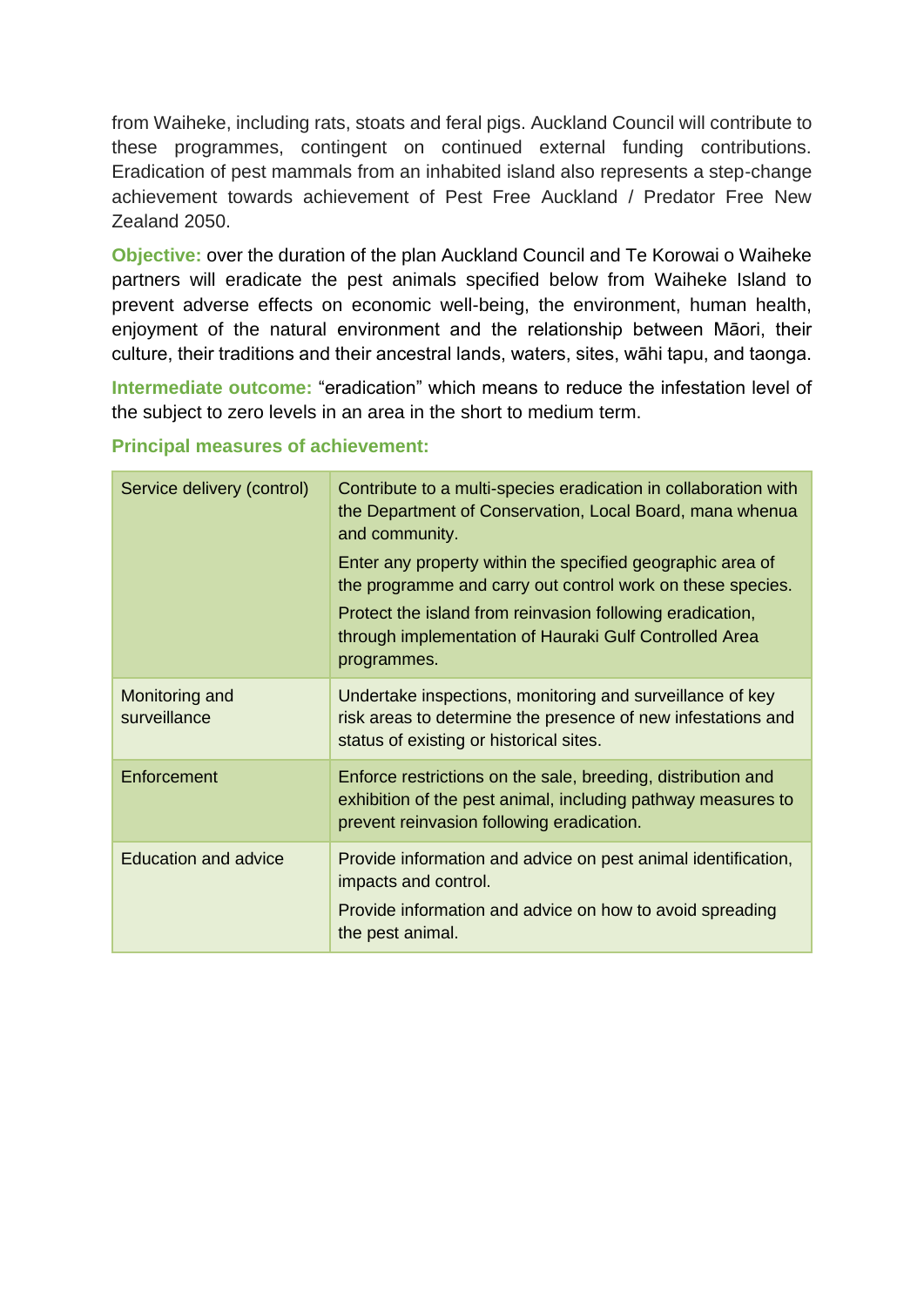from Waiheke, including rats, stoats and feral pigs. Auckland Council will contribute to these programmes, contingent on continued external funding contributions. Eradication of pest mammals from an inhabited island also represents a step-change achievement towards achievement of Pest Free Auckland / Predator Free New Zealand 2050.

**Objective:** over the duration of the plan Auckland Council and Te Korowai o Waiheke partners will eradicate the pest animals specified below from Waiheke Island to prevent adverse effects on economic well-being, the environment, human health, enjoyment of the natural environment and the relationship between Māori, their culture, their traditions and their ancestral lands, waters, sites, wāhi tapu, and taonga.

**Intermediate outcome:** "eradication" which means to reduce the infestation level of the subject to zero levels in an area in the short to medium term.

| Service delivery (control)     | Contribute to a multi-species eradication in collaboration with<br>the Department of Conservation, Local Board, mana whenua<br>and community.                                                                                                                  |
|--------------------------------|----------------------------------------------------------------------------------------------------------------------------------------------------------------------------------------------------------------------------------------------------------------|
|                                | Enter any property within the specified geographic area of<br>the programme and carry out control work on these species.<br>Protect the island from reinvasion following eradication,<br>through implementation of Hauraki Gulf Controlled Area<br>programmes. |
| Monitoring and<br>surveillance | Undertake inspections, monitoring and surveillance of key<br>risk areas to determine the presence of new infestations and<br>status of existing or historical sites.                                                                                           |
| Enforcement                    | Enforce restrictions on the sale, breeding, distribution and<br>exhibition of the pest animal, including pathway measures to<br>prevent reinvasion following eradication.                                                                                      |
| <b>Education and advice</b>    | Provide information and advice on pest animal identification,<br>impacts and control.<br>Provide information and advice on how to avoid spreading<br>the pest animal.                                                                                          |

## **Principal measures of achievement:**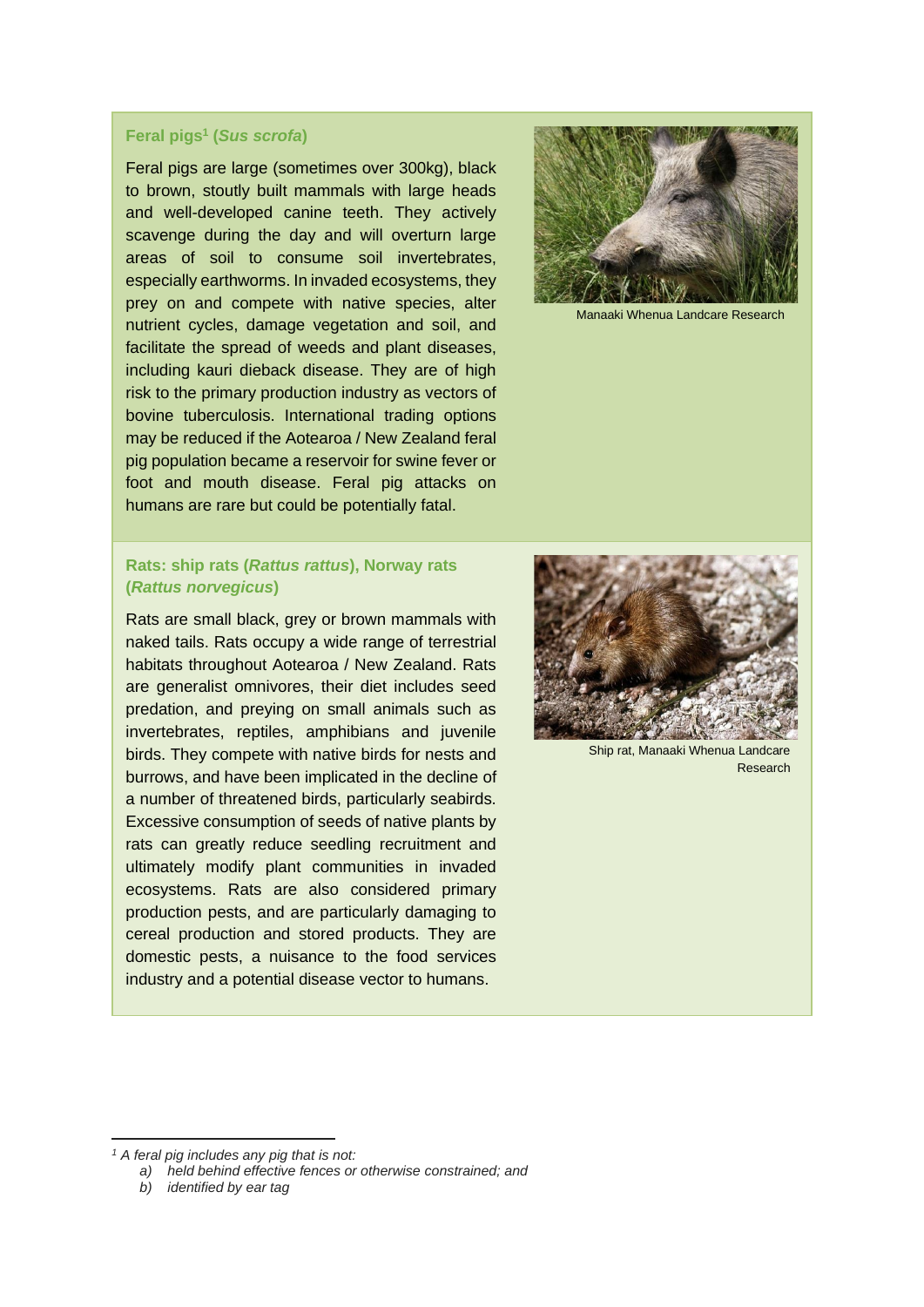#### **Feral pigs<sup>1</sup> (***Sus scrofa***)**

Feral pigs are large (sometimes over 300kg), black to brown, stoutly built mammals with large heads and well-developed canine teeth. They actively scavenge during the day and will overturn large areas of soil to consume soil invertebrates, especially earthworms. In invaded ecosystems, they prey on and compete with native species, alter nutrient cycles, damage vegetation and soil, and facilitate the spread of weeds and plant diseases, including kauri dieback disease. They are of high risk to the primary production industry as vectors of bovine tuberculosis. International trading options may be reduced if the Aotearoa / New Zealand feral pig population became a reservoir for swine fever or foot and mouth disease. Feral pig attacks on humans are rare but could be potentially fatal.

### **Rats: ship rats (***Rattus rattus***), Norway rats (***Rattus norvegicus***)**

Rats are small black, grey or brown mammals with naked tails. Rats occupy a wide range of terrestrial habitats throughout Aotearoa / New Zealand. Rats are generalist omnivores, their diet includes seed predation, and preying on small animals such as invertebrates, reptiles, amphibians and juvenile birds. They compete with native birds for nests and burrows, and have been implicated in the decline of a number of threatened birds, particularly seabirds. Excessive consumption of seeds of native plants by rats can greatly reduce seedling recruitment and ultimately modify plant communities in invaded ecosystems. Rats are also considered primary production pests, and are particularly damaging to cereal production and stored products. They are domestic pests, a nuisance to the food services industry and a potential disease vector to humans.



Manaaki Whenua Landcare Research



Ship rat, Manaaki Whenua Landcare Research

*<sup>1</sup> A feral pig includes any pig that is not:*

*a) held behind effective fences or otherwise constrained; and*

*b) identified by ear tag*